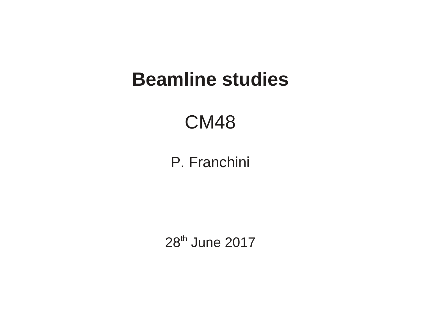#### **Beamline studies**

#### CM48

#### P. Franchini

28<sup>th</sup> June 2017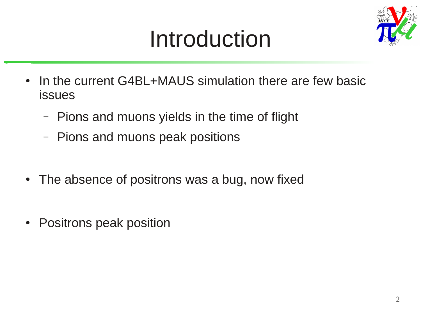# Introduction



- In the current G4BL+MAUS simulation there are few basic issues
	- Pions and muons yields in the time of flight
	- Pions and muons peak positions
- The absence of positrons was a bug, now fixed
- Positrons peak position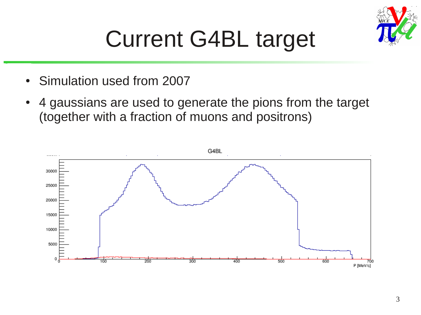

#### Current G4BL target

- Simulation used from 2007
- 4 gaussians are used to generate the pions from the target (together with a fraction of muons and positrons)

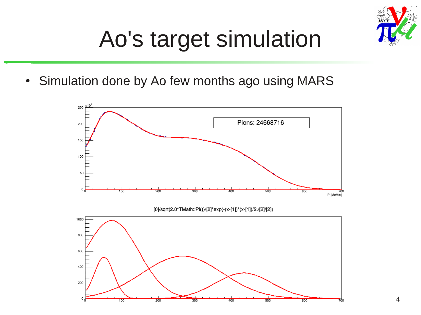

## Ao's target simulation

• Simulation done by Ao few months ago using MARS

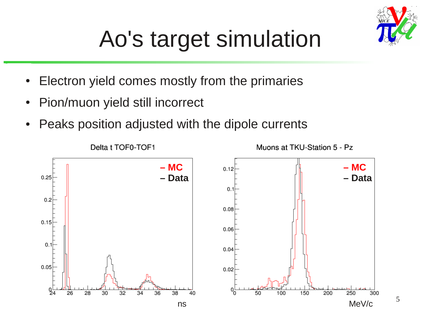

# Ao's target simulation

- Electron yield comes mostly from the primaries
- Pion/muon yield still incorrect
- Peaks position adjusted with the dipole currents

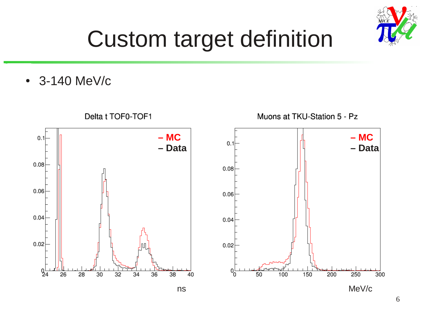

## Custom target definition

• 3-140 MeV/c

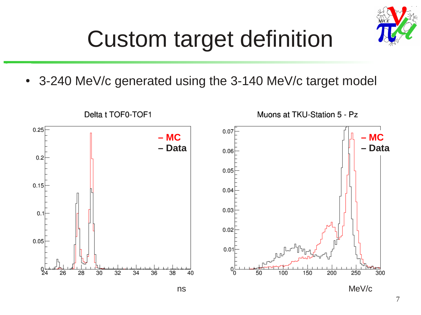

## Custom target definition

• 3-240 MeV/c generated using the 3-140 MeV/c target model

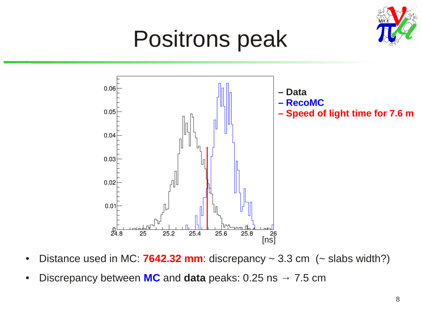

#### Positrons peak



- Distance used in MC: **7642.32 mm**: discrepancy  $\sim$  3.3 cm ( $\sim$  slabs width?)
- Discrepancy between  $MC$  and **data** peaks: 0.25 ns  $\rightarrow$  7.5 cm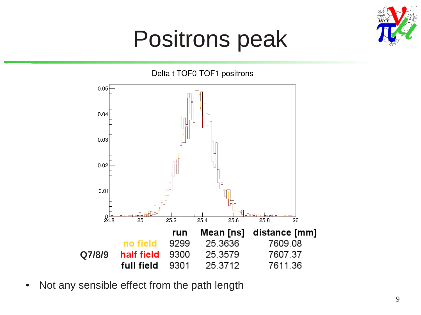

#### Positrons peak



• Not any sensible effect from the path length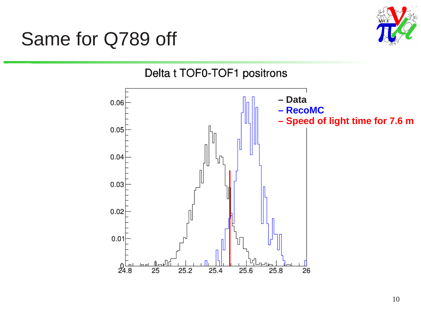#### Same for Q789 off



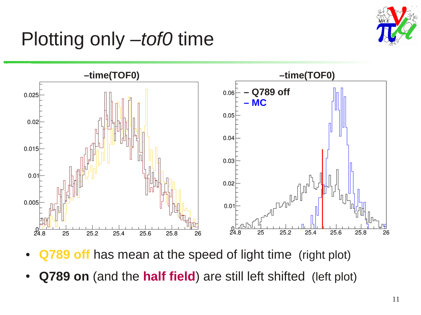

#### Plotting only –*tof0* time



- **Q789 off** has mean at the speed of light time (right plot)
- **Q789 on** (and the **half field**) are still left shifted (left plot)